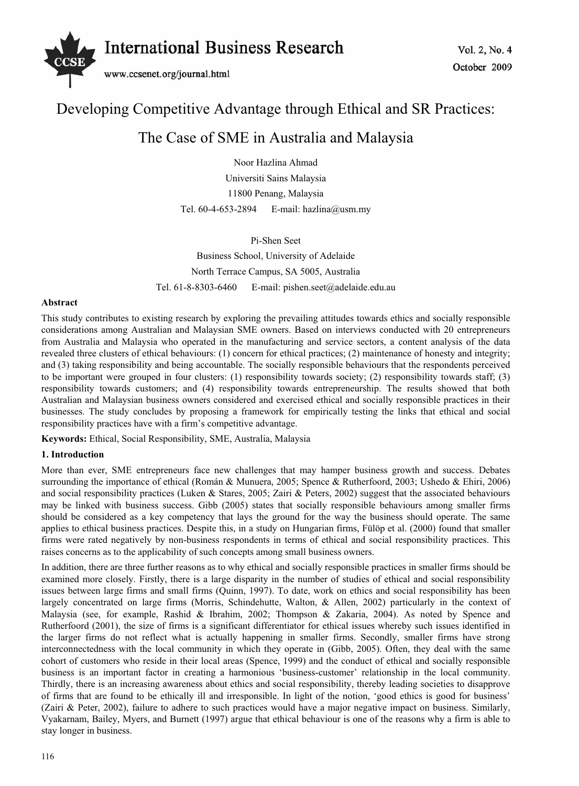

# Developing Competitive Advantage through Ethical and SR Practices:

## The Case of SME in Australia and Malaysia

Noor Hazlina Ahmad Universiti Sains Malaysia 11800 Penang, Malaysia Tel. 60-4-653-2894 E-mail: hazlina@usm.my

Pi-Shen Seet Business School, University of Adelaide North Terrace Campus, SA 5005, Australia Tel. 61-8-8303-6460 E-mail: pishen.seet@adelaide.edu.au

#### **Abstract**

This study contributes to existing research by exploring the prevailing attitudes towards ethics and socially responsible considerations among Australian and Malaysian SME owners. Based on interviews conducted with 20 entrepreneurs from Australia and Malaysia who operated in the manufacturing and service sectors, a content analysis of the data revealed three clusters of ethical behaviours: (1) concern for ethical practices; (2) maintenance of honesty and integrity; and (3) taking responsibility and being accountable. The socially responsible behaviours that the respondents perceived to be important were grouped in four clusters: (1) responsibility towards society; (2) responsibility towards staff; (3) responsibility towards customers; and (4) responsibility towards entrepreneurship. The results showed that both Australian and Malaysian business owners considered and exercised ethical and socially responsible practices in their businesses. The study concludes by proposing a framework for empirically testing the links that ethical and social responsibility practices have with a firm's competitive advantage.

**Keywords:** Ethical, Social Responsibility, SME, Australia, Malaysia

## **1. Introduction**

More than ever, SME entrepreneurs face new challenges that may hamper business growth and success. Debates surrounding the importance of ethical (Román & Munuera, 2005; Spence & Rutherfoord, 2003; Ushedo & Ehiri, 2006) and social responsibility practices (Luken & Stares, 2005; Zairi & Peters, 2002) suggest that the associated behaviours may be linked with business success. Gibb (2005) states that socially responsible behaviours among smaller firms should be considered as a key competency that lays the ground for the way the business should operate. The same applies to ethical business practices. Despite this, in a study on Hungarian firms, Fülöp et al. (2000) found that smaller firms were rated negatively by non-business respondents in terms of ethical and social responsibility practices. This raises concerns as to the applicability of such concepts among small business owners.

In addition, there are three further reasons as to why ethical and socially responsible practices in smaller firms should be examined more closely. Firstly, there is a large disparity in the number of studies of ethical and social responsibility issues between large firms and small firms (Quinn, 1997). To date, work on ethics and social responsibility has been largely concentrated on large firms (Morris, Schindehutte, Walton, & Allen, 2002) particularly in the context of Malaysia (see, for example, Rashid & Ibrahim, 2002; Thompson & Zakaria, 2004). As noted by Spence and Rutherfoord (2001), the size of firms is a significant differentiator for ethical issues whereby such issues identified in the larger firms do not reflect what is actually happening in smaller firms. Secondly, smaller firms have strong interconnectedness with the local community in which they operate in (Gibb, 2005). Often, they deal with the same cohort of customers who reside in their local areas (Spence, 1999) and the conduct of ethical and socially responsible business is an important factor in creating a harmonious 'business-customer' relationship in the local community. Thirdly, there is an increasing awareness about ethics and social responsibility, thereby leading societies to disapprove of firms that are found to be ethically ill and irresponsible. In light of the notion, 'good ethics is good for business' (Zairi & Peter, 2002), failure to adhere to such practices would have a major negative impact on business. Similarly, Vyakarnam, Bailey, Myers, and Burnett (1997) argue that ethical behaviour is one of the reasons why a firm is able to stay longer in business.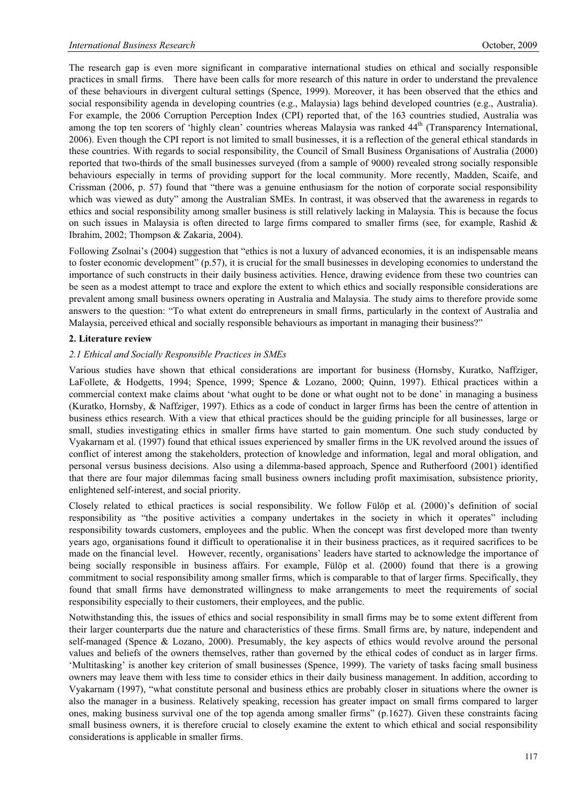The research gap is even more significant in comparative international studies on ethical and socially responsible practices in small firms. There have been calls for more research of this nature in order to understand the prevalence of these behaviours in divergent cultural settings (Spence, 1999). Moreover, it has been observed that the ethics and social responsibility agenda in developing countries (e.g., Malaysia) lags behind developed countries (e.g., Australia). For example, the 2006 Corruption Perception Index (CPI) reported that, of the 163 countries studied, Australia was among the top ten scorers of 'highly clean' countries whereas Malaysia was ranked 44<sup>th</sup> (Transparency International, 2006). Even though the CPI report is not limited to small businesses, it is a reflection of the general ethical standards in these countries. With regards to social responsibility, the Council of Small Business Organisations of Australia (2000) reported that two-thirds of the small businesses surveyed (from a sample of 9000) revealed strong socially responsible behaviours especially in terms of providing support for the local community. More recently, Madden, Scaife, and Crissman (2006, p. 57) found that "there was a genuine enthusiasm for the notion of corporate social responsibility which was viewed as duty" among the Australian SMEs. In contrast, it was observed that the awareness in regards to ethics and social responsibility among smaller business is still relatively lacking in Malaysia. This is because the focus on such issues in Malaysia is often directed to large firms compared to smaller firms (see, for example, Rashid & Ibrahim, 2002; Thompson & Zakaria, 2004).

Following Zsolnai's (2004) suggestion that "ethics is not a luxury of advanced economies, it is an indispensable means to foster economic development" (p.57), it is crucial for the small businesses in developing economies to understand the importance of such constructs in their daily business activities. Hence, drawing evidence from these two countries can be seen as a modest attempt to trace and explore the extent to which ethics and socially responsible considerations are prevalent among small business owners operating in Australia and Malaysia. The study aims to therefore provide some answers to the question: "To what extent do entrepreneurs in small firms, particularly in the context of Australia and Malaysia, perceived ethical and socially responsible behaviours as important in managing their business?"

#### **2. Literature review**

#### *2.1 Ethical and Socially Responsible Practices in SMEs*

Various studies have shown that ethical considerations are important for business (Hornsby, Kuratko, Naffziger, LaFollete, & Hodgetts, 1994; Spence, 1999; Spence & Lozano, 2000; Quinn, 1997). Ethical practices within a commercial context make claims about 'what ought to be done or what ought not to be done' in managing a business (Kuratko, Hornsby, & Naffziger, 1997). Ethics as a code of conduct in larger firms has been the centre of attention in business ethics research. With a view that ethical practices should be the guiding principle for all businesses, large or small, studies investigating ethics in smaller firms have started to gain momentum. One such study conducted by Vyakarnam et al. (1997) found that ethical issues experienced by smaller firms in the UK revolved around the issues of conflict of interest among the stakeholders, protection of knowledge and information, legal and moral obligation, and personal versus business decisions. Also using a dilemma-based approach, Spence and Rutherfoord (2001) identified that there are four major dilemmas facing small business owners including profit maximisation, subsistence priority, enlightened self-interest, and social priority.

Closely related to ethical practices is social responsibility. We follow Fülöp et al. (2000)'s definition of social responsibility as "the positive activities a company undertakes in the society in which it operates" including responsibility towards customers, employees and the public. When the concept was first developed more than twenty years ago, organisations found it difficult to operationalise it in their business practices, as it required sacrifices to be made on the financial level. However, recently, organisations' leaders have started to acknowledge the importance of being socially responsible in business affairs. For example, Fülöp et al. (2000) found that there is a growing commitment to social responsibility among smaller firms, which is comparable to that of larger firms. Specifically, they found that small firms have demonstrated willingness to make arrangements to meet the requirements of social responsibility especially to their customers, their employees, and the public.

Notwithstanding this, the issues of ethics and social responsibility in small firms may be to some extent different from their larger counterparts due the nature and characteristics of these firms. Small firms are, by nature, independent and self-managed (Spence & Lozano, 2000). Presumably, the key aspects of ethics would revolve around the personal values and beliefs of the owners themselves, rather than governed by the ethical codes of conduct as in larger firms. 'Multitasking' is another key criterion of small businesses (Spence, 1999). The variety of tasks facing small business owners may leave them with less time to consider ethics in their daily business management. In addition, according to Vyakarnam (1997), "what constitute personal and business ethics are probably closer in situations where the owner is also the manager in a business. Relatively speaking, recession has greater impact on small firms compared to larger ones, making business survival one of the top agenda among smaller firms" (p.1627). Given these constraints facing small business owners, it is therefore crucial to closely examine the extent to which ethical and social responsibility considerations is applicable in smaller firms.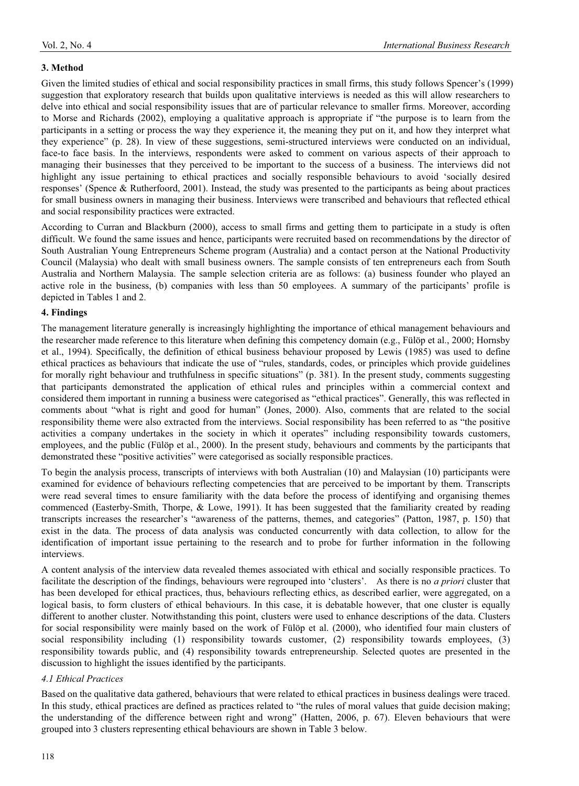## **3. Method**

Given the limited studies of ethical and social responsibility practices in small firms, this study follows Spencer's (1999) suggestion that exploratory research that builds upon qualitative interviews is needed as this will allow researchers to delve into ethical and social responsibility issues that are of particular relevance to smaller firms. Moreover, according to Morse and Richards (2002), employing a qualitative approach is appropriate if "the purpose is to learn from the participants in a setting or process the way they experience it, the meaning they put on it, and how they interpret what they experience" (p. 28). In view of these suggestions, semi-structured interviews were conducted on an individual, face-to face basis. In the interviews, respondents were asked to comment on various aspects of their approach to managing their businesses that they perceived to be important to the success of a business. The interviews did not highlight any issue pertaining to ethical practices and socially responsible behaviours to avoid 'socially desired responses' (Spence & Rutherfoord, 2001). Instead, the study was presented to the participants as being about practices for small business owners in managing their business. Interviews were transcribed and behaviours that reflected ethical and social responsibility practices were extracted.

According to Curran and Blackburn (2000), access to small firms and getting them to participate in a study is often difficult. We found the same issues and hence, participants were recruited based on recommendations by the director of South Australian Young Entrepreneurs Scheme program (Australia) and a contact person at the National Productivity Council (Malaysia) who dealt with small business owners. The sample consists of ten entrepreneurs each from South Australia and Northern Malaysia. The sample selection criteria are as follows: (a) business founder who played an active role in the business, (b) companies with less than 50 employees. A summary of the participants' profile is depicted in Tables 1 and 2.

## **4. Findings**

The management literature generally is increasingly highlighting the importance of ethical management behaviours and the researcher made reference to this literature when defining this competency domain (e.g., Fülöp et al., 2000; Hornsby et al., 1994). Specifically, the definition of ethical business behaviour proposed by Lewis (1985) was used to define ethical practices as behaviours that indicate the use of "rules, standards, codes, or principles which provide guidelines for morally right behaviour and truthfulness in specific situations" (p. 381). In the present study, comments suggesting that participants demonstrated the application of ethical rules and principles within a commercial context and considered them important in running a business were categorised as "ethical practices". Generally, this was reflected in comments about "what is right and good for human" (Jones, 2000). Also, comments that are related to the social responsibility theme were also extracted from the interviews. Social responsibility has been referred to as "the positive activities a company undertakes in the society in which it operates" including responsibility towards customers, employees, and the public (Fülöp et al., 2000). In the present study, behaviours and comments by the participants that demonstrated these "positive activities" were categorised as socially responsible practices.

To begin the analysis process, transcripts of interviews with both Australian (10) and Malaysian (10) participants were examined for evidence of behaviours reflecting competencies that are perceived to be important by them. Transcripts were read several times to ensure familiarity with the data before the process of identifying and organising themes commenced (Easterby-Smith, Thorpe, & Lowe, 1991). It has been suggested that the familiarity created by reading transcripts increases the researcher's "awareness of the patterns, themes, and categories" (Patton, 1987, p. 150) that exist in the data. The process of data analysis was conducted concurrently with data collection, to allow for the identification of important issue pertaining to the research and to probe for further information in the following interviews.

A content analysis of the interview data revealed themes associated with ethical and socially responsible practices. To facilitate the description of the findings, behaviours were regrouped into 'clusters'. As there is no *a priori* cluster that has been developed for ethical practices, thus, behaviours reflecting ethics, as described earlier, were aggregated, on a logical basis, to form clusters of ethical behaviours. In this case, it is debatable however, that one cluster is equally different to another cluster. Notwithstanding this point, clusters were used to enhance descriptions of the data. Clusters for social responsibility were mainly based on the work of Fülöp et al. (2000), who identified four main clusters of social responsibility including (1) responsibility towards customer, (2) responsibility towards employees, (3) responsibility towards public, and (4) responsibility towards entrepreneurship. Selected quotes are presented in the discussion to highlight the issues identified by the participants.

## *4.1 Ethical Practices*

Based on the qualitative data gathered, behaviours that were related to ethical practices in business dealings were traced. In this study, ethical practices are defined as practices related to "the rules of moral values that guide decision making; the understanding of the difference between right and wrong" (Hatten, 2006, p. 67). Eleven behaviours that were grouped into 3 clusters representing ethical behaviours are shown in Table 3 below.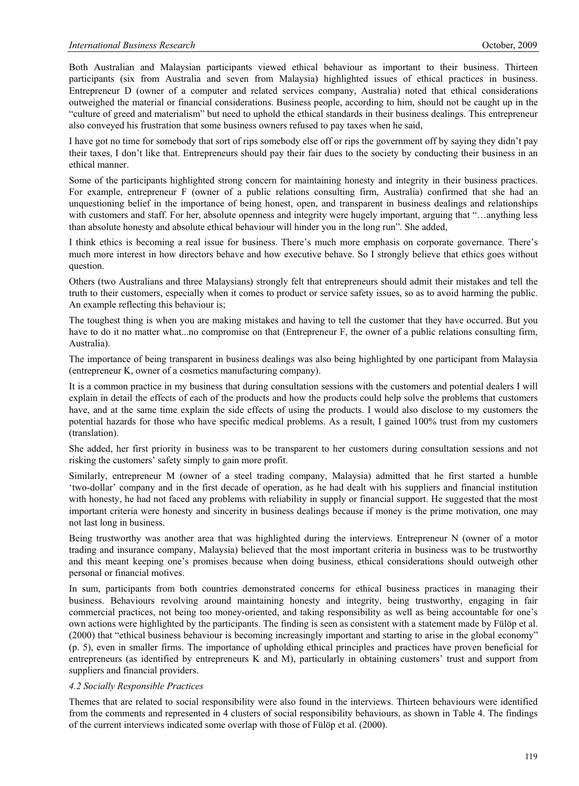Both Australian and Malaysian participants viewed ethical behaviour as important to their business. Thirteen participants (six from Australia and seven from Malaysia) highlighted issues of ethical practices in business. Entrepreneur D (owner of a computer and related services company, Australia) noted that ethical considerations outweighed the material or financial considerations. Business people, according to him, should not be caught up in the "culture of greed and materialism" but need to uphold the ethical standards in their business dealings. This entrepreneur also conveyed his frustration that some business owners refused to pay taxes when he said,

I have got no time for somebody that sort of rips somebody else off or rips the government off by saying they didn't pay their taxes, I don't like that. Entrepreneurs should pay their fair dues to the society by conducting their business in an ethical manner.

Some of the participants highlighted strong concern for maintaining honesty and integrity in their business practices. For example, entrepreneur F (owner of a public relations consulting firm, Australia) confirmed that she had an unquestioning belief in the importance of being honest, open, and transparent in business dealings and relationships with customers and staff. For her, absolute openness and integrity were hugely important, arguing that "...anything less than absolute honesty and absolute ethical behaviour will hinder you in the long run". She added,

I think ethics is becoming a real issue for business. There's much more emphasis on corporate governance. There's much more interest in how directors behave and how executive behave. So I strongly believe that ethics goes without question.

Others (two Australians and three Malaysians) strongly felt that entrepreneurs should admit their mistakes and tell the truth to their customers, especially when it comes to product or service safety issues, so as to avoid harming the public. An example reflecting this behaviour is;

The toughest thing is when you are making mistakes and having to tell the customer that they have occurred. But you have to do it no matter what...no compromise on that (Entrepreneur F, the owner of a public relations consulting firm, Australia).

The importance of being transparent in business dealings was also being highlighted by one participant from Malaysia (entrepreneur K, owner of a cosmetics manufacturing company).

It is a common practice in my business that during consultation sessions with the customers and potential dealers I will explain in detail the effects of each of the products and how the products could help solve the problems that customers have, and at the same time explain the side effects of using the products. I would also disclose to my customers the potential hazards for those who have specific medical problems. As a result, I gained 100% trust from my customers (translation).

She added, her first priority in business was to be transparent to her customers during consultation sessions and not risking the customers' safety simply to gain more profit.

Similarly, entrepreneur M (owner of a steel trading company, Malaysia) admitted that he first started a humble 'two-dollar' company and in the first decade of operation, as he had dealt with his suppliers and financial institution with honesty, he had not faced any problems with reliability in supply or financial support. He suggested that the most important criteria were honesty and sincerity in business dealings because if money is the prime motivation, one may not last long in business.

Being trustworthy was another area that was highlighted during the interviews. Entrepreneur N (owner of a motor trading and insurance company, Malaysia) believed that the most important criteria in business was to be trustworthy and this meant keeping one's promises because when doing business, ethical considerations should outweigh other personal or financial motives.

In sum, participants from both countries demonstrated concerns for ethical business practices in managing their business. Behaviours revolving around maintaining honesty and integrity, being trustworthy, engaging in fair commercial practices, not being too money-oriented, and taking responsibility as well as being accountable for one's own actions were highlighted by the participants. The finding is seen as consistent with a statement made by Fülöp et al. (2000) that "ethical business behaviour is becoming increasingly important and starting to arise in the global economy" (p. 5), even in smaller firms. The importance of upholding ethical principles and practices have proven beneficial for entrepreneurs (as identified by entrepreneurs K and M), particularly in obtaining customers' trust and support from suppliers and financial providers.

#### *4.2 Socially Responsible Practices*

Themes that are related to social responsibility were also found in the interviews. Thirteen behaviours were identified from the comments and represented in 4 clusters of social responsibility behaviours, as shown in Table 4. The findings of the current interviews indicated some overlap with those of Fülöp et al. (2000).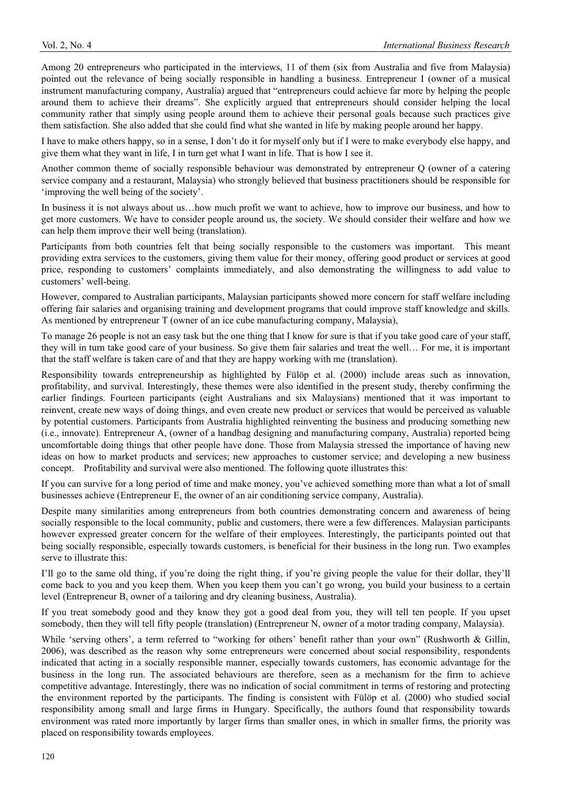Among 20 entrepreneurs who participated in the interviews, 11 of them (six from Australia and five from Malaysia) pointed out the relevance of being socially responsible in handling a business. Entrepreneur I (owner of a musical instrument manufacturing company, Australia) argued that "entrepreneurs could achieve far more by helping the people around them to achieve their dreams". She explicitly argued that entrepreneurs should consider helping the local community rather that simply using people around them to achieve their personal goals because such practices give them satisfaction. She also added that she could find what she wanted in life by making people around her happy.

I have to make others happy, so in a sense, I don't do it for myself only but if I were to make everybody else happy, and give them what they want in life, I in turn get what I want in life. That is how I see it.

Another common theme of socially responsible behaviour was demonstrated by entrepreneur Q (owner of a catering service company and a restaurant, Malaysia) who strongly believed that business practitioners should be responsible for 'improving the well being of the society'.

In business it is not always about us…how much profit we want to achieve, how to improve our business, and how to get more customers. We have to consider people around us, the society. We should consider their welfare and how we can help them improve their well being (translation).

Participants from both countries felt that being socially responsible to the customers was important. This meant providing extra services to the customers, giving them value for their money, offering good product or services at good price, responding to customers' complaints immediately, and also demonstrating the willingness to add value to customers' well-being.

However, compared to Australian participants, Malaysian participants showed more concern for staff welfare including offering fair salaries and organising training and development programs that could improve staff knowledge and skills. As mentioned by entrepreneur T (owner of an ice cube manufacturing company, Malaysia),

To manage 26 people is not an easy task but the one thing that I know for sure is that if you take good care of your staff, they will in turn take good care of your business. So give them fair salaries and treat the well… For me, it is important that the staff welfare is taken care of and that they are happy working with me (translation).

Responsibility towards entrepreneurship as highlighted by Fülöp et al. (2000) include areas such as innovation, profitability, and survival. Interestingly, these themes were also identified in the present study, thereby confirming the earlier findings. Fourteen participants (eight Australians and six Malaysians) mentioned that it was important to reinvent, create new ways of doing things, and even create new product or services that would be perceived as valuable by potential customers. Participants from Australia highlighted reinventing the business and producing something new (i.e., innovate). Entrepreneur A, (owner of a handbag designing and manufacturing company, Australia) reported being uncomfortable doing things that other people have done. Those from Malaysia stressed the importance of having new ideas on how to market products and services; new approaches to customer service; and developing a new business concept. Profitability and survival were also mentioned. The following quote illustrates this:

If you can survive for a long period of time and make money, you've achieved something more than what a lot of small businesses achieve (Entrepreneur E, the owner of an air conditioning service company, Australia).

Despite many similarities among entrepreneurs from both countries demonstrating concern and awareness of being socially responsible to the local community, public and customers, there were a few differences. Malaysian participants however expressed greater concern for the welfare of their employees. Interestingly, the participants pointed out that being socially responsible, especially towards customers, is beneficial for their business in the long run. Two examples serve to illustrate this:

I'll go to the same old thing, if you're doing the right thing, if you're giving people the value for their dollar, they'll come back to you and you keep them. When you keep them you can't go wrong, you build your business to a certain level (Entrepreneur B, owner of a tailoring and dry cleaning business, Australia).

If you treat somebody good and they know they got a good deal from you, they will tell ten people. If you upset somebody, then they will tell fifty people (translation) (Entrepreneur N, owner of a motor trading company, Malaysia).

While 'serving others', a term referred to "working for others' benefit rather than your own" (Rushworth & Gillin, 2006), was described as the reason why some entrepreneurs were concerned about social responsibility, respondents indicated that acting in a socially responsible manner, especially towards customers, has economic advantage for the business in the long run. The associated behaviours are therefore, seen as a mechanism for the firm to achieve competitive advantage. Interestingly, there was no indication of social commitment in terms of restoring and protecting the environment reported by the participants. The finding is consistent with Fülöp et al. (2000) who studied social responsibility among small and large firms in Hungary. Specifically, the authors found that responsibility towards environment was rated more importantly by larger firms than smaller ones, in which in smaller firms, the priority was placed on responsibility towards employees.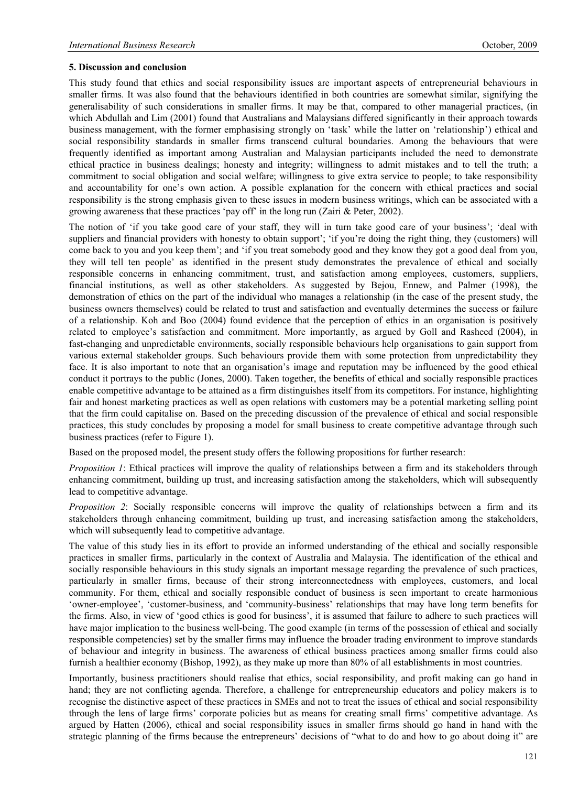#### **5. Discussion and conclusion**

This study found that ethics and social responsibility issues are important aspects of entrepreneurial behaviours in smaller firms. It was also found that the behaviours identified in both countries are somewhat similar, signifying the generalisability of such considerations in smaller firms. It may be that, compared to other managerial practices, (in which Abdullah and Lim (2001) found that Australians and Malaysians differed significantly in their approach towards business management, with the former emphasising strongly on 'task' while the latter on 'relationship') ethical and social responsibility standards in smaller firms transcend cultural boundaries. Among the behaviours that were frequently identified as important among Australian and Malaysian participants included the need to demonstrate ethical practice in business dealings; honesty and integrity; willingness to admit mistakes and to tell the truth; a commitment to social obligation and social welfare; willingness to give extra service to people; to take responsibility and accountability for one's own action. A possible explanation for the concern with ethical practices and social responsibility is the strong emphasis given to these issues in modern business writings, which can be associated with a growing awareness that these practices 'pay off' in the long run (Zairi & Peter, 2002).

The notion of 'if you take good care of your staff, they will in turn take good care of your business'; 'deal with suppliers and financial providers with honesty to obtain support'; 'if you're doing the right thing, they (customers) will come back to you and you keep them'; and 'if you treat somebody good and they know they got a good deal from you, they will tell ten people' as identified in the present study demonstrates the prevalence of ethical and socially responsible concerns in enhancing commitment, trust, and satisfaction among employees, customers, suppliers, financial institutions, as well as other stakeholders. As suggested by Bejou, Ennew, and Palmer (1998), the demonstration of ethics on the part of the individual who manages a relationship (in the case of the present study, the business owners themselves) could be related to trust and satisfaction and eventually determines the success or failure of a relationship. Koh and Boo (2004) found evidence that the perception of ethics in an organisation is positively related to employee's satisfaction and commitment. More importantly, as argued by Goll and Rasheed (2004), in fast-changing and unpredictable environments, socially responsible behaviours help organisations to gain support from various external stakeholder groups. Such behaviours provide them with some protection from unpredictability they face. It is also important to note that an organisation's image and reputation may be influenced by the good ethical conduct it portrays to the public (Jones, 2000). Taken together, the benefits of ethical and socially responsible practices enable competitive advantage to be attained as a firm distinguishes itself from its competitors. For instance, highlighting fair and honest marketing practices as well as open relations with customers may be a potential marketing selling point that the firm could capitalise on. Based on the preceding discussion of the prevalence of ethical and social responsible practices, this study concludes by proposing a model for small business to create competitive advantage through such business practices (refer to Figure 1).

Based on the proposed model, the present study offers the following propositions for further research:

*Proposition 1*: Ethical practices will improve the quality of relationships between a firm and its stakeholders through enhancing commitment, building up trust, and increasing satisfaction among the stakeholders, which will subsequently lead to competitive advantage.

*Proposition 2*: Socially responsible concerns will improve the quality of relationships between a firm and its stakeholders through enhancing commitment, building up trust, and increasing satisfaction among the stakeholders, which will subsequently lead to competitive advantage.

The value of this study lies in its effort to provide an informed understanding of the ethical and socially responsible practices in smaller firms, particularly in the context of Australia and Malaysia. The identification of the ethical and socially responsible behaviours in this study signals an important message regarding the prevalence of such practices, particularly in smaller firms, because of their strong interconnectedness with employees, customers, and local community. For them, ethical and socially responsible conduct of business is seen important to create harmonious 'owner-employee', 'customer-business, and 'community-business' relationships that may have long term benefits for the firms. Also, in view of 'good ethics is good for business', it is assumed that failure to adhere to such practices will have major implication to the business well-being. The good example (in terms of the possession of ethical and socially responsible competencies) set by the smaller firms may influence the broader trading environment to improve standards of behaviour and integrity in business. The awareness of ethical business practices among smaller firms could also furnish a healthier economy (Bishop, 1992), as they make up more than 80% of all establishments in most countries.

Importantly, business practitioners should realise that ethics, social responsibility, and profit making can go hand in hand; they are not conflicting agenda. Therefore, a challenge for entrepreneurship educators and policy makers is to recognise the distinctive aspect of these practices in SMEs and not to treat the issues of ethical and social responsibility through the lens of large firms' corporate policies but as means for creating small firms' competitive advantage. As argued by Hatten (2006), ethical and social responsibility issues in smaller firms should go hand in hand with the strategic planning of the firms because the entrepreneurs' decisions of "what to do and how to go about doing it" are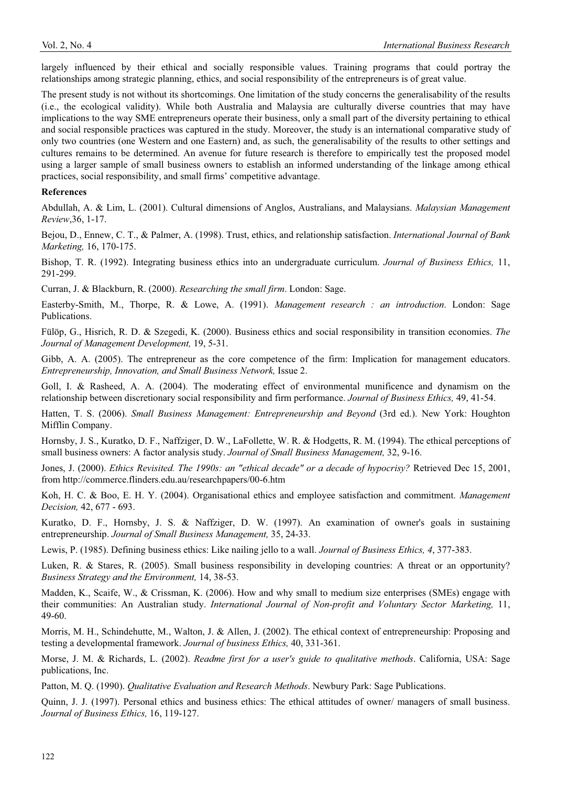largely influenced by their ethical and socially responsible values. Training programs that could portray the relationships among strategic planning, ethics, and social responsibility of the entrepreneurs is of great value.

The present study is not without its shortcomings. One limitation of the study concerns the generalisability of the results (i.e., the ecological validity). While both Australia and Malaysia are culturally diverse countries that may have implications to the way SME entrepreneurs operate their business, only a small part of the diversity pertaining to ethical and social responsible practices was captured in the study. Moreover, the study is an international comparative study of only two countries (one Western and one Eastern) and, as such, the generalisability of the results to other settings and cultures remains to be determined. An avenue for future research is therefore to empirically test the proposed model using a larger sample of small business owners to establish an informed understanding of the linkage among ethical practices, social responsibility, and small firms' competitive advantage.

#### **References**

Abdullah, A. & Lim, L. (2001). Cultural dimensions of Anglos, Australians, and Malaysians. *Malaysian Management Review*,36, 1-17.

Bejou, D., Ennew, C. T., & Palmer, A. (1998). Trust, ethics, and relationship satisfaction. *International Journal of Bank Marketing,* 16, 170-175.

Bishop, T. R. (1992). Integrating business ethics into an undergraduate curriculum. *Journal of Business Ethics,* 11, 291-299.

Curran, J. & Blackburn, R. (2000). *Researching the small firm*. London: Sage.

Easterby-Smith, M., Thorpe, R. & Lowe, A. (1991). *Management research : an introduction*. London: Sage Publications.

Fülöp, G., Hisrich, R. D. & Szegedi, K. (2000). Business ethics and social responsibility in transition economies. *The Journal of Management Development,* 19, 5-31.

Gibb, A. A. (2005). The entrepreneur as the core competence of the firm: Implication for management educators. *Entrepreneurship, Innovation, and Small Business Network,* Issue 2.

Goll, I. & Rasheed, A. A. (2004). The moderating effect of environmental munificence and dynamism on the relationship between discretionary social responsibility and firm performance. *Journal of Business Ethics,* 49, 41-54.

Hatten, T. S. (2006). *Small Business Management: Entrepreneurship and Beyond* (3rd ed.). New York: Houghton Mifflin Company.

Hornsby, J. S., Kuratko, D. F., Naffziger, D. W., LaFollette, W. R. & Hodgetts, R. M. (1994). The ethical perceptions of small business owners: A factor analysis study. *Journal of Small Business Management,* 32, 9-16.

Jones, J. (2000). *Ethics Revisited. The 1990s: an "ethical decade" or a decade of hypocrisy?* Retrieved Dec 15, 2001, from http://commerce.flinders.edu.au/researchpapers/00-6.htm

Koh, H. C. & Boo, E. H. Y. (2004). Organisational ethics and employee satisfaction and commitment. *Management Decision,* 42, 677 - 693.

Kuratko, D. F., Hornsby, J. S. & Naffziger, D. W. (1997). An examination of owner's goals in sustaining entrepreneurship. *Journal of Small Business Management,* 35, 24-33.

Lewis, P. (1985). Defining business ethics: Like nailing jello to a wall. *Journal of Business Ethics, 4*, 377-383.

Luken, R. & Stares, R. (2005). Small business responsibility in developing countries: A threat or an opportunity? *Business Strategy and the Environment,* 14, 38-53.

Madden, K., Scaife, W., & Crissman, K. (2006). How and why small to medium size enterprises (SMEs) engage with their communities: An Australian study. *International Journal of Non-profit and Voluntary Sector Marketing,* 11, 49-60.

Morris, M. H., Schindehutte, M., Walton, J. & Allen, J. (2002). The ethical context of entrepreneurship: Proposing and testing a developmental framework. *Journal of business Ethics,* 40, 331-361.

Morse, J. M. & Richards, L. (2002). *Readme first for a user's guide to qualitative methods*. California, USA: Sage publications, Inc.

Patton, M. Q. (1990). *Qualitative Evaluation and Research Methods*. Newbury Park: Sage Publications.

Quinn, J. J. (1997). Personal ethics and business ethics: The ethical attitudes of owner/ managers of small business. *Journal of Business Ethics,* 16, 119-127.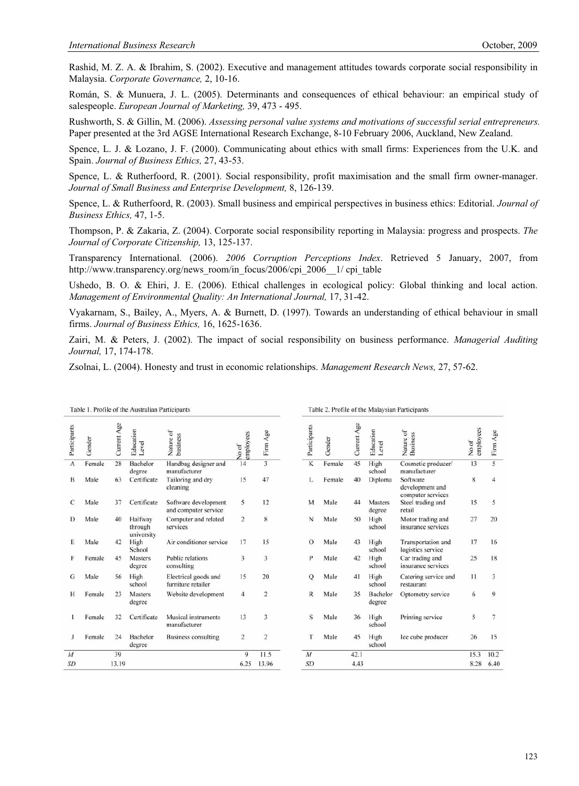Rashid, M. Z. A. & Ibrahim, S. (2002). Executive and management attitudes towards corporate social responsibility in Malaysia. *Corporate Governance,* 2, 10-16.

Román, S. & Munuera, J. L. (2005). Determinants and consequences of ethical behaviour: an empirical study of salespeople. *European Journal of Marketing,* 39, 473 - 495.

Rushworth, S. & Gillin, M. (2006). *Assessing personal value systems and motivations of successful serial entrepreneurs.* Paper presented at the 3rd AGSE International Research Exchange, 8-10 February 2006, Auckland, New Zealand.

Spence, L. J. & Lozano, J. F. (2000). Communicating about ethics with small firms: Experiences from the U.K. and Spain. *Journal of Business Ethics,* 27, 43-53.

Spence, L. & Rutherfoord, R. (2001). Social responsibility, profit maximisation and the small firm owner-manager. *Journal of Small Business and Enterprise Development,* 8, 126-139.

Spence, L. & Rutherfoord, R. (2003). Small business and empirical perspectives in business ethics: Editorial. *Journal of Business Ethics,* 47, 1-5.

Thompson, P. & Zakaria, Z. (2004). Corporate social responsibility reporting in Malaysia: progress and prospects. *The Journal of Corporate Citizenship,* 13, 125-137.

Transparency International. (2006). *2006 Corruption Perceptions Index*. Retrieved 5 January, 2007, from http://www.transparency.org/news\_room/in\_focus/2006/cpi\_2006\_\_1/ cpi\_table

Ushedo, B. O. & Ehiri, J. E. (2006). Ethical challenges in ecological policy: Global thinking and local action. *Management of Environmental Quality: An International Journal,* 17, 31-42.

Vyakarnam, S., Bailey, A., Myers, A. & Burnett, D. (1997). Towards an understanding of ethical behaviour in small firms. *Journal of Business Ethics,* 16, 1625-1636.

Zairi, M. & Peters, J. (2002). The impact of social responsibility on business performance. *Managerial Auditing Journal,* 17, 174-178.

Zsolnai, L. (2004). Honesty and trust in economic relationships. *Management Research News,* 27, 57-62.

| Table 1. Profile of the Australian Participants |        |             |                                  |                                              |                         |                |                | Table 2. Profile of the Malaysian Participants |             |                    |                                                  |                    |          |  |
|-------------------------------------------------|--------|-------------|----------------------------------|----------------------------------------------|-------------------------|----------------|----------------|------------------------------------------------|-------------|--------------------|--------------------------------------------------|--------------------|----------|--|
| Participants                                    | Gender | Current Age | Education<br>Level               | Nature of<br>business                        | employees<br>No of      | Firm Age       | Participants   | Gender                                         | Current Age | Education<br>Level | Nature of<br>Business                            | employees<br>No of | Firm Age |  |
| A                                               | Female | 28          | Bachelor<br>degree               | Handbag designer and<br>manufacturer         | 14                      |                | K              | Female                                         | 45          | High<br>school     | Cosmetic producer/<br>manufacturer               | 13                 | 5        |  |
| B                                               | Male   | 63          | Certificate                      | Tailoring and dry<br>cleaning                | 15                      | 47             | L              | Female                                         | 40          | Diploma            | Software<br>development and<br>computer services | 8                  | 4        |  |
| С                                               | Male   | 37          | Certificate                      | Software development<br>and computer service | 5                       | 12             | M              | Male                                           | 44          | Masters<br>degree  | Steel trading and<br>retail                      | 15                 | 5        |  |
| D                                               | Male   | 40          | Halfway<br>through<br>university | Computer and related<br>services             | $\overline{2}$          | 8              | N              | Male                                           | 50          | High<br>school     | Motor trading and<br>insurance services          | 27                 | 20       |  |
| E                                               | Male   | 42          | High<br>School                   | Air conditioner service                      | 17                      | 15             | $\Omega$       | Male                                           | 43          | High<br>school     | Transportation and<br>logistics service          | 17                 | 16       |  |
|                                                 | Female | 45          | <b>Masters</b><br>degree         | <b>Public relations</b><br>consulting        | 3                       | 3              | P              | Male                                           | 42          | High<br>school     | Car trading and<br>insurance services            | 25                 | 18       |  |
| G                                               | Male   | 56          | High<br>school                   | Electrical goods and<br>furniture retailer   | 15                      | 20             | $\mathbf Q$    | Male                                           | 41          | High<br>school     | Catering service and<br>restaurant               | 11                 | 3        |  |
| н                                               | Female | 23          | Masters<br>degree                | Website development                          | $\overline{4}$          | $\overline{2}$ | R              | Male                                           | 35          | Bachelor<br>degree | Optometry service                                | 6                  | 9        |  |
|                                                 | Female | 32          | Certificate                      | Musical instruments<br>manufacturer          | 13                      | 3              | S              | Male                                           | 36          | High<br>school     | Printing service                                 | 5                  | 7        |  |
|                                                 | Female | 24          | Bachelor<br>degree               | <b>Business consulting</b>                   | $\overline{\mathbf{c}}$ | $\overline{c}$ | Т              | Male                                           | 45          | High<br>school     | Ice cube producer                                | 26                 | 15       |  |
| $\overline{M}$                                  |        | 39          |                                  |                                              | 9                       | 11.5           | $\overline{M}$ |                                                | 42.1        |                    |                                                  | 15.3               | 10.2     |  |
| <b>SD</b>                                       |        | 13.19       |                                  |                                              | 6.25                    | 13.96          | <b>SD</b>      |                                                | 4.43        |                    |                                                  | 8.28               | 6.40     |  |